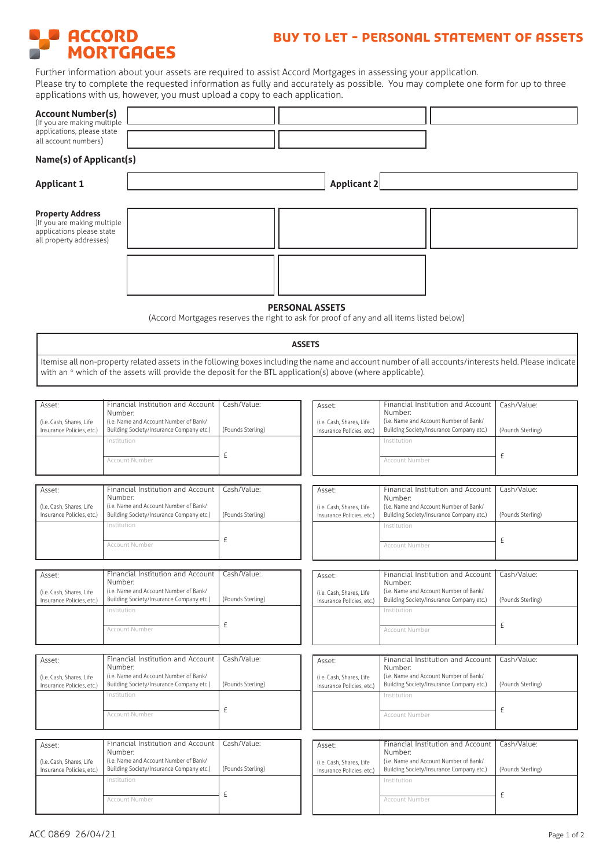# ACCORD **MORTGAGES**

## BUY TO LET - PERSONAL STATEMENT OF ASSETS

Further information about your assets are required to assist Accord Mortgages in assessing your application. Please try to complete the requested information as fully and accurately as possible. You may complete one form for up to three applications with us, however, you must upload a copy to each application.

| <b>Account Number(s)</b><br>(If you are making multiple<br>applications, please state<br>all account numbers)  |             |  |  |  |
|----------------------------------------------------------------------------------------------------------------|-------------|--|--|--|
| Name(s) of Applicant(s)                                                                                        |             |  |  |  |
| <b>Applicant 1</b>                                                                                             | Applicant 2 |  |  |  |
| <b>Property Address</b><br>(If you are making multiple<br>applications please state<br>all property addresses) |             |  |  |  |

#### **PERSONAL ASSETS**

(Accord Mortgages reserves the right to ask for proof of any and all items listed below)

**ASSETS**

Itemise all non-property related assets in the following boxes including the name and account number of all accounts/interests held. Please indicate with an \* which of the assets will provide the deposit for the BTL application(s) above (where applicable).

| Asset:                    | Financial Institution and Account        | Cash/Value:       | Asset:                    | Financial Institution and Account        | Cash/Value:       |
|---------------------------|------------------------------------------|-------------------|---------------------------|------------------------------------------|-------------------|
|                           | Number:                                  |                   |                           | Number:                                  |                   |
| (i.e. Cash, Shares, Life  | (i.e. Name and Account Number of Bank/   |                   | (i.e. Cash, Shares, Life  | (i.e. Name and Account Number of Bank/   |                   |
| Insurance Policies, etc.) | Building Society/Insurance Company etc.) | (Pounds Sterling) | Insurance Policies, etc.) | Building Society/Insurance Company etc.) | (Pounds Sterling) |
|                           | Institution                              |                   |                           | Institution                              |                   |
|                           |                                          |                   |                           |                                          |                   |
|                           |                                          | £                 |                           |                                          | £                 |
|                           | Account Number                           |                   |                           | Account Number                           |                   |
|                           |                                          |                   |                           |                                          |                   |
|                           |                                          |                   |                           |                                          |                   |
| Asset:                    | Financial Institution and Account        | Cash/Value:       |                           | Financial Institution and Account        | Cash/Value:       |
|                           | Number:                                  |                   | Asset:                    |                                          |                   |
|                           |                                          |                   |                           | Number:                                  |                   |
| (i.e. Cash, Shares, Life  | (i.e. Name and Account Number of Bank/   |                   | (i.e. Cash, Shares, Life  | (i.e. Name and Account Number of Bank/   |                   |
| Insurance Policies, etc.) | Building Society/Insurance Company etc.) | (Pounds Sterling) | Insurance Policies, etc.) | Building Society/Insurance Company etc.) | (Pounds Sterling) |
|                           | Institution                              |                   |                           | Institution                              |                   |
|                           |                                          |                   |                           |                                          |                   |
|                           | Account Number                           | £                 |                           | Account Number                           | £                 |
|                           |                                          |                   |                           |                                          |                   |
|                           |                                          |                   |                           |                                          |                   |
|                           |                                          |                   |                           |                                          |                   |
| Asset:                    | Financial Institution and Account        | Cash/Value:       | Asset:                    | Financial Institution and Account        | Cash/Value:       |
|                           | Number:                                  |                   |                           | Number:                                  |                   |
| (i.e. Cash, Shares, Life  | (i.e. Name and Account Number of Bank/   |                   | (i.e. Cash, Shares, Life  | (i.e. Name and Account Number of Bank/   |                   |
| Insurance Policies, etc.) | Building Society/Insurance Company etc.) | (Pounds Sterling) | Insurance Policies, etc.) | Building Society/Insurance Company etc.) | (Pounds Sterling) |
|                           |                                          |                   |                           |                                          |                   |
|                           | Institution                              |                   |                           | Institution                              |                   |
|                           |                                          | £                 |                           |                                          |                   |
|                           | Account Number                           |                   |                           | Account Number                           | £                 |
|                           |                                          |                   |                           |                                          |                   |
|                           |                                          |                   |                           |                                          |                   |
|                           |                                          |                   |                           |                                          |                   |
| Asset:                    | Financial Institution and Account        | Cash/Value:       | Asset:                    | Financial Institution and Account        | Cash/Value:       |
|                           | Number:                                  |                   |                           | Number:                                  |                   |
| (i.e. Cash, Shares, Life  | (i.e. Name and Account Number of Bank/   |                   | (i.e. Cash, Shares, Life  | (i.e. Name and Account Number of Bank/   |                   |
| Insurance Policies, etc.) | Building Society/Insurance Company etc.) | (Pounds Sterling) | Insurance Policies, etc.) | Building Society/Insurance Company etc.) | (Pounds Sterling) |
|                           | Institution                              |                   |                           | Institution                              |                   |
|                           |                                          |                   |                           |                                          |                   |
|                           | Account Number                           | £                 |                           |                                          | £                 |
|                           |                                          |                   |                           | Account Number                           |                   |
|                           |                                          |                   |                           |                                          |                   |
|                           |                                          |                   |                           |                                          |                   |
| Asset:                    | Financial Institution and Account        | Cash/Value:       | Asset:                    | Financial Institution and Account        | Cash/Value:       |
|                           | Number:                                  |                   |                           | Number:                                  |                   |
| (i.e. Cash, Shares, Life  | (i.e. Name and Account Number of Bank/   |                   |                           | (i.e. Name and Account Number of Bank/   |                   |
| Insurance Policies, etc.) | Building Society/Insurance Company etc.) | (Pounds Sterling) | (i.e. Cash, Shares, Life  | Building Society/Insurance Company etc.) | (Pounds Sterling) |
|                           |                                          |                   | Insurance Policies, etc.) |                                          |                   |
|                           | Institution                              |                   |                           | Institution                              |                   |
|                           |                                          |                   |                           |                                          |                   |
|                           | Account Number                           | £                 |                           | Account Number                           | £                 |
|                           |                                          |                   |                           |                                          |                   |
|                           |                                          |                   |                           |                                          |                   |